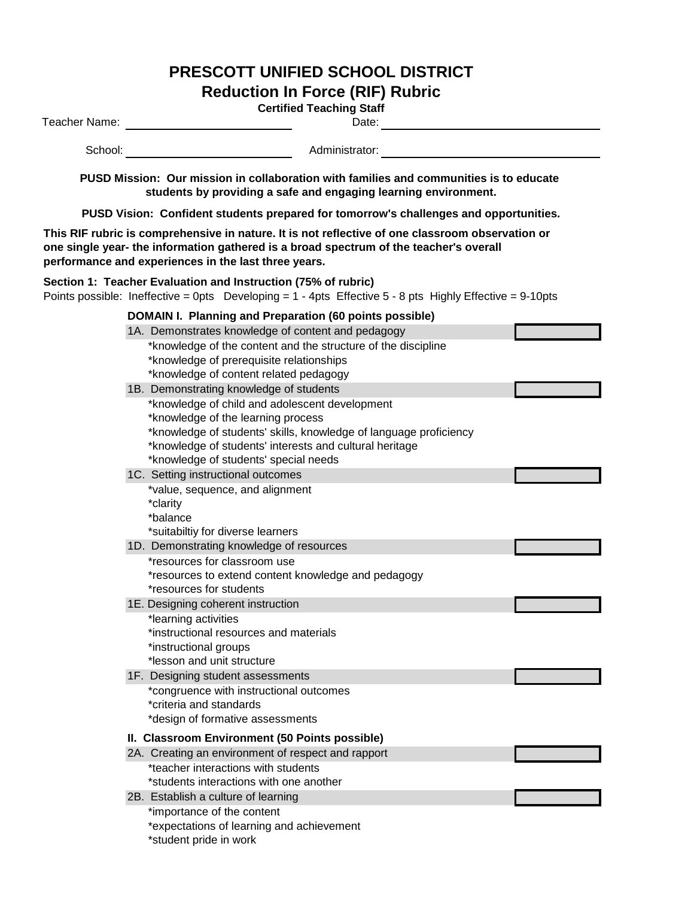## **PRESCOTT UNIFIED SCHOOL DISTRICT**

**Reduction In Force (RIF) Rubric**

| <b>Certified Teaching Staff</b><br>Teacher Name:<br>Date:                                                                                                                                                                                          |                                                                                                                                                                                                                                                               |  |  |  |  |
|----------------------------------------------------------------------------------------------------------------------------------------------------------------------------------------------------------------------------------------------------|---------------------------------------------------------------------------------------------------------------------------------------------------------------------------------------------------------------------------------------------------------------|--|--|--|--|
| School:                                                                                                                                                                                                                                            | Administrator:                                                                                                                                                                                                                                                |  |  |  |  |
| PUSD Mission: Our mission in collaboration with families and communities is to educate<br>students by providing a safe and engaging learning environment.                                                                                          |                                                                                                                                                                                                                                                               |  |  |  |  |
| PUSD Vision: Confident students prepared for tomorrow's challenges and opportunities.                                                                                                                                                              |                                                                                                                                                                                                                                                               |  |  |  |  |
| This RIF rubric is comprehensive in nature. It is not reflective of one classroom observation or<br>one single year- the information gathered is a broad spectrum of the teacher's overall<br>performance and experiences in the last three years. |                                                                                                                                                                                                                                                               |  |  |  |  |
|                                                                                                                                                                                                                                                    | Section 1: Teacher Evaluation and Instruction (75% of rubric)<br>Points possible: Ineffective = 0pts Developing = $1 - 4$ pts Effective 5 - 8 pts Highly Effective = 9-10pts                                                                                  |  |  |  |  |
|                                                                                                                                                                                                                                                    | DOMAIN I. Planning and Preparation (60 points possible)                                                                                                                                                                                                       |  |  |  |  |
|                                                                                                                                                                                                                                                    | 1A. Demonstrates knowledge of content and pedagogy                                                                                                                                                                                                            |  |  |  |  |
|                                                                                                                                                                                                                                                    | *knowledge of the content and the structure of the discipline<br>*knowledge of prerequisite relationships<br>*knowledge of content related pedagogy                                                                                                           |  |  |  |  |
|                                                                                                                                                                                                                                                    | 1B. Demonstrating knowledge of students                                                                                                                                                                                                                       |  |  |  |  |
|                                                                                                                                                                                                                                                    | *knowledge of child and adolescent development<br>*knowledge of the learning process<br>*knowledge of students' skills, knowledge of language proficiency<br>*knowledge of students' interests and cultural heritage<br>*knowledge of students' special needs |  |  |  |  |
|                                                                                                                                                                                                                                                    | 1C. Setting instructional outcomes                                                                                                                                                                                                                            |  |  |  |  |
|                                                                                                                                                                                                                                                    | *value, sequence, and alignment<br>*clarity<br>*balance<br>*suitabiltiy for diverse learners<br>1D. Demonstrating knowledge of resources<br>*resources for classroom use                                                                                      |  |  |  |  |
|                                                                                                                                                                                                                                                    | *resources to extend content knowledge and pedagogy<br>*resources for students                                                                                                                                                                                |  |  |  |  |
|                                                                                                                                                                                                                                                    | 1E. Designing coherent instruction<br>*learning activities<br>*instructional resources and materials<br>*instructional groups<br>*lesson and unit structure                                                                                                   |  |  |  |  |
|                                                                                                                                                                                                                                                    | 1F. Designing student assessments<br>*congruence with instructional outcomes<br>*criteria and standards<br>*design of formative assessments                                                                                                                   |  |  |  |  |
|                                                                                                                                                                                                                                                    | II. Classroom Environment (50 Points possible)<br>2A. Creating an environment of respect and rapport<br>*teacher interactions with students<br>*students interactions with one another                                                                        |  |  |  |  |
|                                                                                                                                                                                                                                                    | 2B. Establish a culture of learning<br>*importance of the content<br>*expectations of learning and achievement<br>*student pride in work                                                                                                                      |  |  |  |  |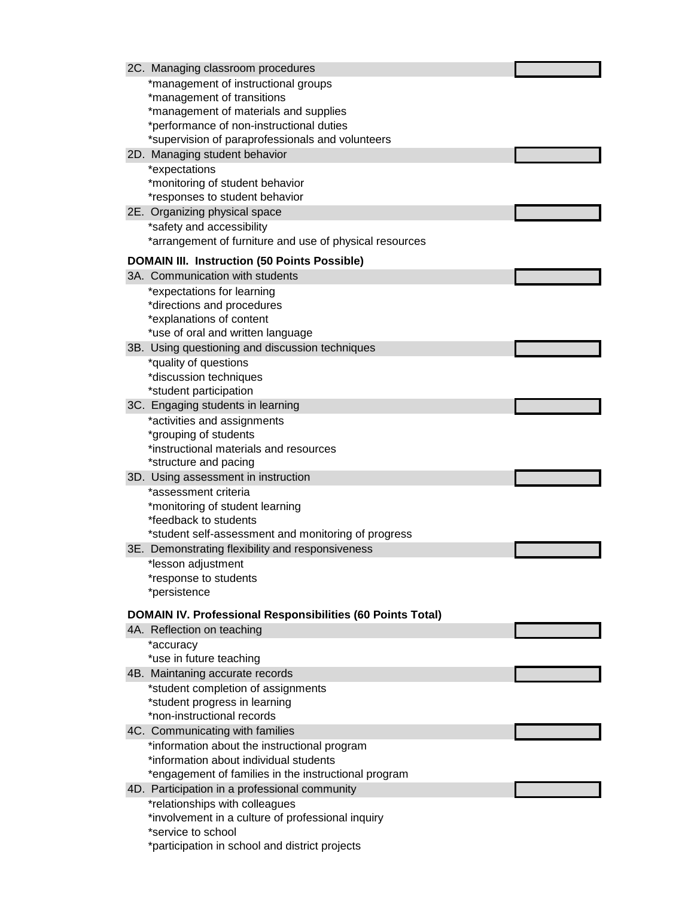| *management of instructional groups<br>*management of transitions<br>*management of materials and supplies<br>*performance of non-instructional duties<br>*supervision of paraprofessionals and volunteers<br>2D. Managing student behavior<br>*expectations<br>*monitoring of student behavior<br>*responses to student behavior<br>2E. Organizing physical space<br>*safety and accessibility<br>*arrangement of furniture and use of physical resources<br><b>DOMAIN III. Instruction (50 Points Possible)</b><br>3A. Communication with students<br>*expectations for learning<br>*directions and procedures<br>*explanations of content<br>*use of oral and written language<br>3B. Using questioning and discussion techniques<br>*quality of questions<br>*discussion techniques<br>*student participation<br>3C. Engaging students in learning<br>*activities and assignments<br>*grouping of students<br>*instructional materials and resources<br>*structure and pacing<br>3D. Using assessment in instruction<br>*assessment criteria<br>*monitoring of student learning<br>*feedback to students<br>*student self-assessment and monitoring of progress<br>3E. Demonstrating flexibility and responsiveness<br>*lesson adjustment<br>*response to students<br>*persistence<br><b>DOMAIN IV. Professional Responsibilities (60 Points Total)</b><br>4A. Reflection on teaching<br>*accuracy<br>*use in future teaching<br>4B. Maintaning accurate records |
|----------------------------------------------------------------------------------------------------------------------------------------------------------------------------------------------------------------------------------------------------------------------------------------------------------------------------------------------------------------------------------------------------------------------------------------------------------------------------------------------------------------------------------------------------------------------------------------------------------------------------------------------------------------------------------------------------------------------------------------------------------------------------------------------------------------------------------------------------------------------------------------------------------------------------------------------------------------------------------------------------------------------------------------------------------------------------------------------------------------------------------------------------------------------------------------------------------------------------------------------------------------------------------------------------------------------------------------------------------------------------------------------------------------------------------------------------------------------|
|                                                                                                                                                                                                                                                                                                                                                                                                                                                                                                                                                                                                                                                                                                                                                                                                                                                                                                                                                                                                                                                                                                                                                                                                                                                                                                                                                                                                                                                                      |
|                                                                                                                                                                                                                                                                                                                                                                                                                                                                                                                                                                                                                                                                                                                                                                                                                                                                                                                                                                                                                                                                                                                                                                                                                                                                                                                                                                                                                                                                      |
|                                                                                                                                                                                                                                                                                                                                                                                                                                                                                                                                                                                                                                                                                                                                                                                                                                                                                                                                                                                                                                                                                                                                                                                                                                                                                                                                                                                                                                                                      |
|                                                                                                                                                                                                                                                                                                                                                                                                                                                                                                                                                                                                                                                                                                                                                                                                                                                                                                                                                                                                                                                                                                                                                                                                                                                                                                                                                                                                                                                                      |
|                                                                                                                                                                                                                                                                                                                                                                                                                                                                                                                                                                                                                                                                                                                                                                                                                                                                                                                                                                                                                                                                                                                                                                                                                                                                                                                                                                                                                                                                      |
|                                                                                                                                                                                                                                                                                                                                                                                                                                                                                                                                                                                                                                                                                                                                                                                                                                                                                                                                                                                                                                                                                                                                                                                                                                                                                                                                                                                                                                                                      |
|                                                                                                                                                                                                                                                                                                                                                                                                                                                                                                                                                                                                                                                                                                                                                                                                                                                                                                                                                                                                                                                                                                                                                                                                                                                                                                                                                                                                                                                                      |
|                                                                                                                                                                                                                                                                                                                                                                                                                                                                                                                                                                                                                                                                                                                                                                                                                                                                                                                                                                                                                                                                                                                                                                                                                                                                                                                                                                                                                                                                      |
|                                                                                                                                                                                                                                                                                                                                                                                                                                                                                                                                                                                                                                                                                                                                                                                                                                                                                                                                                                                                                                                                                                                                                                                                                                                                                                                                                                                                                                                                      |
|                                                                                                                                                                                                                                                                                                                                                                                                                                                                                                                                                                                                                                                                                                                                                                                                                                                                                                                                                                                                                                                                                                                                                                                                                                                                                                                                                                                                                                                                      |
|                                                                                                                                                                                                                                                                                                                                                                                                                                                                                                                                                                                                                                                                                                                                                                                                                                                                                                                                                                                                                                                                                                                                                                                                                                                                                                                                                                                                                                                                      |
|                                                                                                                                                                                                                                                                                                                                                                                                                                                                                                                                                                                                                                                                                                                                                                                                                                                                                                                                                                                                                                                                                                                                                                                                                                                                                                                                                                                                                                                                      |
|                                                                                                                                                                                                                                                                                                                                                                                                                                                                                                                                                                                                                                                                                                                                                                                                                                                                                                                                                                                                                                                                                                                                                                                                                                                                                                                                                                                                                                                                      |
|                                                                                                                                                                                                                                                                                                                                                                                                                                                                                                                                                                                                                                                                                                                                                                                                                                                                                                                                                                                                                                                                                                                                                                                                                                                                                                                                                                                                                                                                      |
|                                                                                                                                                                                                                                                                                                                                                                                                                                                                                                                                                                                                                                                                                                                                                                                                                                                                                                                                                                                                                                                                                                                                                                                                                                                                                                                                                                                                                                                                      |
|                                                                                                                                                                                                                                                                                                                                                                                                                                                                                                                                                                                                                                                                                                                                                                                                                                                                                                                                                                                                                                                                                                                                                                                                                                                                                                                                                                                                                                                                      |
|                                                                                                                                                                                                                                                                                                                                                                                                                                                                                                                                                                                                                                                                                                                                                                                                                                                                                                                                                                                                                                                                                                                                                                                                                                                                                                                                                                                                                                                                      |
|                                                                                                                                                                                                                                                                                                                                                                                                                                                                                                                                                                                                                                                                                                                                                                                                                                                                                                                                                                                                                                                                                                                                                                                                                                                                                                                                                                                                                                                                      |
|                                                                                                                                                                                                                                                                                                                                                                                                                                                                                                                                                                                                                                                                                                                                                                                                                                                                                                                                                                                                                                                                                                                                                                                                                                                                                                                                                                                                                                                                      |
|                                                                                                                                                                                                                                                                                                                                                                                                                                                                                                                                                                                                                                                                                                                                                                                                                                                                                                                                                                                                                                                                                                                                                                                                                                                                                                                                                                                                                                                                      |
|                                                                                                                                                                                                                                                                                                                                                                                                                                                                                                                                                                                                                                                                                                                                                                                                                                                                                                                                                                                                                                                                                                                                                                                                                                                                                                                                                                                                                                                                      |
|                                                                                                                                                                                                                                                                                                                                                                                                                                                                                                                                                                                                                                                                                                                                                                                                                                                                                                                                                                                                                                                                                                                                                                                                                                                                                                                                                                                                                                                                      |
|                                                                                                                                                                                                                                                                                                                                                                                                                                                                                                                                                                                                                                                                                                                                                                                                                                                                                                                                                                                                                                                                                                                                                                                                                                                                                                                                                                                                                                                                      |
|                                                                                                                                                                                                                                                                                                                                                                                                                                                                                                                                                                                                                                                                                                                                                                                                                                                                                                                                                                                                                                                                                                                                                                                                                                                                                                                                                                                                                                                                      |
|                                                                                                                                                                                                                                                                                                                                                                                                                                                                                                                                                                                                                                                                                                                                                                                                                                                                                                                                                                                                                                                                                                                                                                                                                                                                                                                                                                                                                                                                      |
|                                                                                                                                                                                                                                                                                                                                                                                                                                                                                                                                                                                                                                                                                                                                                                                                                                                                                                                                                                                                                                                                                                                                                                                                                                                                                                                                                                                                                                                                      |
|                                                                                                                                                                                                                                                                                                                                                                                                                                                                                                                                                                                                                                                                                                                                                                                                                                                                                                                                                                                                                                                                                                                                                                                                                                                                                                                                                                                                                                                                      |
|                                                                                                                                                                                                                                                                                                                                                                                                                                                                                                                                                                                                                                                                                                                                                                                                                                                                                                                                                                                                                                                                                                                                                                                                                                                                                                                                                                                                                                                                      |
|                                                                                                                                                                                                                                                                                                                                                                                                                                                                                                                                                                                                                                                                                                                                                                                                                                                                                                                                                                                                                                                                                                                                                                                                                                                                                                                                                                                                                                                                      |
|                                                                                                                                                                                                                                                                                                                                                                                                                                                                                                                                                                                                                                                                                                                                                                                                                                                                                                                                                                                                                                                                                                                                                                                                                                                                                                                                                                                                                                                                      |
|                                                                                                                                                                                                                                                                                                                                                                                                                                                                                                                                                                                                                                                                                                                                                                                                                                                                                                                                                                                                                                                                                                                                                                                                                                                                                                                                                                                                                                                                      |
|                                                                                                                                                                                                                                                                                                                                                                                                                                                                                                                                                                                                                                                                                                                                                                                                                                                                                                                                                                                                                                                                                                                                                                                                                                                                                                                                                                                                                                                                      |
|                                                                                                                                                                                                                                                                                                                                                                                                                                                                                                                                                                                                                                                                                                                                                                                                                                                                                                                                                                                                                                                                                                                                                                                                                                                                                                                                                                                                                                                                      |
|                                                                                                                                                                                                                                                                                                                                                                                                                                                                                                                                                                                                                                                                                                                                                                                                                                                                                                                                                                                                                                                                                                                                                                                                                                                                                                                                                                                                                                                                      |
|                                                                                                                                                                                                                                                                                                                                                                                                                                                                                                                                                                                                                                                                                                                                                                                                                                                                                                                                                                                                                                                                                                                                                                                                                                                                                                                                                                                                                                                                      |
|                                                                                                                                                                                                                                                                                                                                                                                                                                                                                                                                                                                                                                                                                                                                                                                                                                                                                                                                                                                                                                                                                                                                                                                                                                                                                                                                                                                                                                                                      |
|                                                                                                                                                                                                                                                                                                                                                                                                                                                                                                                                                                                                                                                                                                                                                                                                                                                                                                                                                                                                                                                                                                                                                                                                                                                                                                                                                                                                                                                                      |
|                                                                                                                                                                                                                                                                                                                                                                                                                                                                                                                                                                                                                                                                                                                                                                                                                                                                                                                                                                                                                                                                                                                                                                                                                                                                                                                                                                                                                                                                      |
|                                                                                                                                                                                                                                                                                                                                                                                                                                                                                                                                                                                                                                                                                                                                                                                                                                                                                                                                                                                                                                                                                                                                                                                                                                                                                                                                                                                                                                                                      |
| *student completion of assignments                                                                                                                                                                                                                                                                                                                                                                                                                                                                                                                                                                                                                                                                                                                                                                                                                                                                                                                                                                                                                                                                                                                                                                                                                                                                                                                                                                                                                                   |
| *student progress in learning                                                                                                                                                                                                                                                                                                                                                                                                                                                                                                                                                                                                                                                                                                                                                                                                                                                                                                                                                                                                                                                                                                                                                                                                                                                                                                                                                                                                                                        |
| *non-instructional records                                                                                                                                                                                                                                                                                                                                                                                                                                                                                                                                                                                                                                                                                                                                                                                                                                                                                                                                                                                                                                                                                                                                                                                                                                                                                                                                                                                                                                           |
| 4C. Communicating with families                                                                                                                                                                                                                                                                                                                                                                                                                                                                                                                                                                                                                                                                                                                                                                                                                                                                                                                                                                                                                                                                                                                                                                                                                                                                                                                                                                                                                                      |
| *information about the instructional program                                                                                                                                                                                                                                                                                                                                                                                                                                                                                                                                                                                                                                                                                                                                                                                                                                                                                                                                                                                                                                                                                                                                                                                                                                                                                                                                                                                                                         |
| *information about individual students                                                                                                                                                                                                                                                                                                                                                                                                                                                                                                                                                                                                                                                                                                                                                                                                                                                                                                                                                                                                                                                                                                                                                                                                                                                                                                                                                                                                                               |
| *engagement of families in the instructional program                                                                                                                                                                                                                                                                                                                                                                                                                                                                                                                                                                                                                                                                                                                                                                                                                                                                                                                                                                                                                                                                                                                                                                                                                                                                                                                                                                                                                 |
| 4D. Participation in a professional community                                                                                                                                                                                                                                                                                                                                                                                                                                                                                                                                                                                                                                                                                                                                                                                                                                                                                                                                                                                                                                                                                                                                                                                                                                                                                                                                                                                                                        |
| *relationships with colleagues                                                                                                                                                                                                                                                                                                                                                                                                                                                                                                                                                                                                                                                                                                                                                                                                                                                                                                                                                                                                                                                                                                                                                                                                                                                                                                                                                                                                                                       |
| *involvement in a culture of professional inquiry<br>*service to school                                                                                                                                                                                                                                                                                                                                                                                                                                                                                                                                                                                                                                                                                                                                                                                                                                                                                                                                                                                                                                                                                                                                                                                                                                                                                                                                                                                              |
| *participation in school and district projects                                                                                                                                                                                                                                                                                                                                                                                                                                                                                                                                                                                                                                                                                                                                                                                                                                                                                                                                                                                                                                                                                                                                                                                                                                                                                                                                                                                                                       |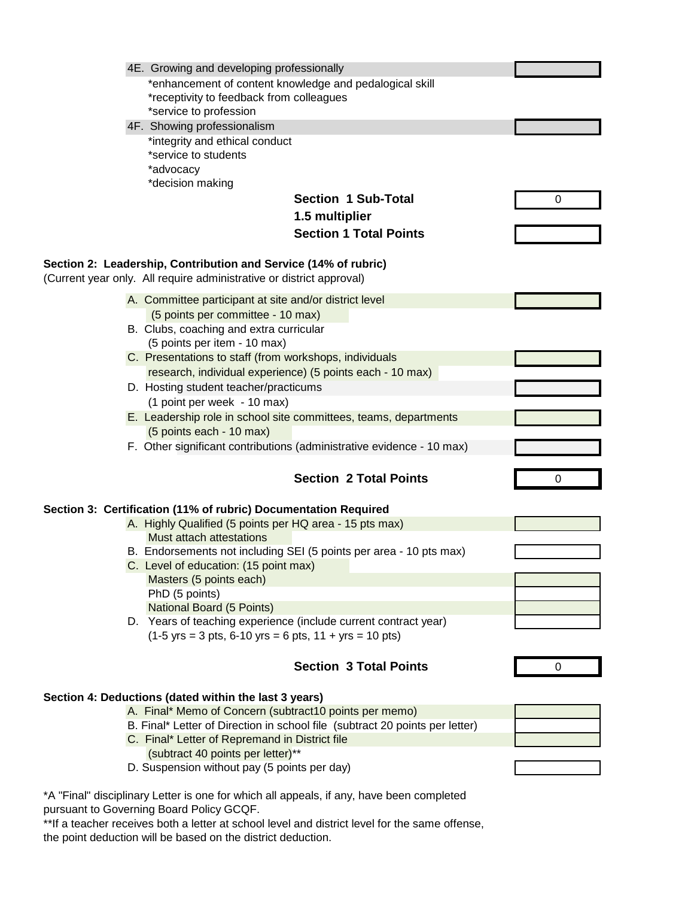|  | 4E. Growing and developing professionally                                                                                               |   |
|--|-----------------------------------------------------------------------------------------------------------------------------------------|---|
|  | *enhancement of content knowledge and pedalogical skill                                                                                 |   |
|  | *receptivity to feedback from colleagues                                                                                                |   |
|  | *service to profession                                                                                                                  |   |
|  | 4F. Showing professionalism                                                                                                             |   |
|  | *integrity and ethical conduct                                                                                                          |   |
|  | *service to students                                                                                                                    |   |
|  | *advocacy<br>*decision making                                                                                                           |   |
|  | <b>Section 1 Sub-Total</b>                                                                                                              | 0 |
|  |                                                                                                                                         |   |
|  | 1.5 multiplier                                                                                                                          |   |
|  | <b>Section 1 Total Points</b>                                                                                                           |   |
|  |                                                                                                                                         |   |
|  | Section 2: Leadership, Contribution and Service (14% of rubric)<br>(Current year only. All require administrative or district approval) |   |
|  |                                                                                                                                         |   |
|  | A. Committee participant at site and/or district level                                                                                  |   |
|  | (5 points per committee - 10 max)                                                                                                       |   |
|  | B. Clubs, coaching and extra curricular                                                                                                 |   |
|  | (5 points per item - 10 max)                                                                                                            |   |
|  | C. Presentations to staff (from workshops, individuals<br>research, individual experience) (5 points each - 10 max)                     |   |
|  | D. Hosting student teacher/practicums                                                                                                   |   |
|  | (1 point per week - 10 max)                                                                                                             |   |
|  | E. Leadership role in school site committees, teams, departments                                                                        |   |
|  | (5 points each - 10 max)                                                                                                                |   |
|  | F. Other significant contributions (administrative evidence - 10 max)                                                                   |   |
|  |                                                                                                                                         |   |
|  | <b>Section 2 Total Points</b>                                                                                                           | 0 |
|  |                                                                                                                                         |   |
|  | Section 3: Certification (11% of rubric) Documentation Required                                                                         |   |
|  | A. Highly Qualified (5 points per HQ area - 15 pts max)                                                                                 |   |
|  | Must attach attestations                                                                                                                |   |
|  | B. Endorsements not including SEI (5 points per area - 10 pts max)                                                                      |   |
|  | C. Level of education: (15 point max)                                                                                                   |   |
|  | Masters (5 points each)<br>PhD (5 points)                                                                                               |   |
|  | <b>National Board (5 Points)</b>                                                                                                        |   |
|  | D. Years of teaching experience (include current contract year)                                                                         |   |
|  | $(1-5 \text{ yrs} = 3 \text{ pts}, 6-10 \text{ yrs} = 6 \text{ pts}, 11 + \text{ yrs} = 10 \text{ pts})$                                |   |
|  |                                                                                                                                         |   |
|  | <b>Section 3 Total Points</b>                                                                                                           | 0 |
|  |                                                                                                                                         |   |
|  | Section 4: Deductions (dated within the last 3 years)                                                                                   |   |
|  | A. Final* Memo of Concern (subtract10 points per memo)                                                                                  |   |
|  | B. Final* Letter of Direction in school file (subtract 20 points per letter)                                                            |   |
|  | C. Final* Letter of Repremand in District file                                                                                          |   |
|  | (subtract 40 points per letter)**<br>D. Suspension without pay (5 points per day)                                                       |   |
|  |                                                                                                                                         |   |
|  | *A "Final" disciplinary Letter is one for which all appeals, if any, have been completed                                                |   |
|  | pursuant to Governing Board Policy GCQF.                                                                                                |   |
|  | **If a teacher receives both a letter at school level and district level for the same offense,                                          |   |

the point deduction will be based on the district deduction.